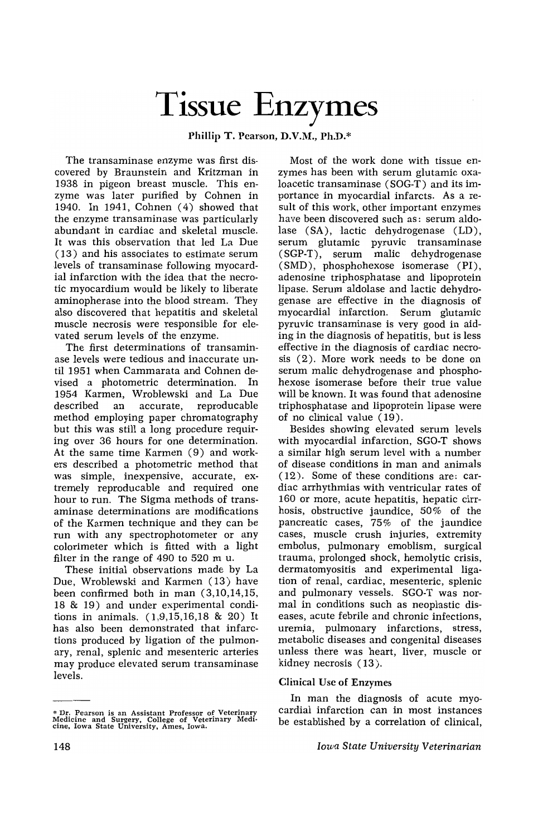# Tissue Enzymes

Phillip T. Pearson, D.V.M., Ph.D.\*

The transaminase enzyme was first discovered by Braunstein and Kritzman in 1938 in pigeon breast muscle. This enzyme was later purified by Cohnen in 1940. In 1941, Cohnen (4) showed that the enzyme transaminase was particularly abundant in cardiac and skeletal muscle. It was this observation that led La Due (13) and his associates to estimate serum levels of transaminase following myocardial infarction with the idea that the necrotic myocardium would be likely to liberate aminopherase into the blood stream. They also discovered that hepatitis and skeletal muscle necrosis were responsible for elevated serum levels of the enzyme.

The first determinations of transaminase levels were tedious and inaccurate until 1951 when Cammarata and Cohnen devised a photometric determination. In 1954 Karmen, Wroblewski and La Due described an accurate, reproducable method employing paper chromatography but this was still a long procedure requiring over 36 hours for one determination. At the same time Karmen (9) and workers described a photometric method that was simple, inexpensive, accurate, extremely reproducable and required one hour to run. The Sigma methods of transaminase determinations are modifications of the Karmen technique and they can be run with any spectrophotometer or any colorimeter which is fitted with a light filter in the range of 490 to 520 m u.

These initial observations made by La Due, Wroblewski and Karmen (13) have been confirmed both in man (3,10,14,15, 18 & 19) and under experimental conditions in animals. (1,9,15,16,18 & 20) It has also been demonstrated that infarctions produced by ligation of the pulmonary, renal, splenic and mesenteric arteries may produce elevated serum transaminase levels.

Most of the work done with tissue enzymes has been with serum glutamic oxaloacetic transaminase (SOG-T) and its importance in myocardial infarcts. As a result of this work, other important enzymes have been discovered such as: serum aldolase (SA), lactic dehydrogenase (LD), serum glutamic pyruvic transaminase (SGP-T), serum malic dehydrogenase ( SMD), phosphohexose isomerase (PI), adenosine triphosphatase and lipoprotein lipase. Serum aldolase and lactic dehydrogenase are effective in the diagnosis of myocardial infarction. Serum glutamic pyruvic transaminase is very good in aiding in the diagnosis of hepatitis, but is less effective in the diagnosis of cardiac necrosis (2), More work needs to be done on serum malic dehydrogenase and phosphohexose isomerase before their true value will be known. It was found that adenosine triphosphatase and lipoprotein lipase were of no clinical value (19).

Besides showing elevated serum levels with myocardial infarction, SGO-T shows a similar high serum level with a number of disease conditions in man and animals ( 12), Some of these conditions are: cardiac arrhythmias with ventricular rates of 160 or more, acute hepatitis, hepatic cirrhosis, obstructive jaundice, 50% of the pancreatic cases, 75% of the jaundice cases, muscle crush injuries, extremity embolus, pulmonary emoblism, surgical trauma, prolonged shock, hemolytic crisis, dermatomyositis and experimental ligation of renal, cardiac, mesenteric, splenic and pulmonary vessels. SGO-T was normal in conditions such as neoplastic diseases, acute febrile and chronic infections, uremia, pulmonary infarctions, stress, metabolic diseases and congenital diseases unless there was heart, liver, muscle or kidney necrosis (13).

## Clinical Usc of Enzymes

In man the diagnosis of acute myocardial infarction can in most instances be established by a correlation of clinical,

<sup>\*</sup> Dr. Pearson is an Assistant Professor of Veterinary Medicine and Surgery, College of Veterinary Medi· cine, Iowa State University, Ames, Iowa.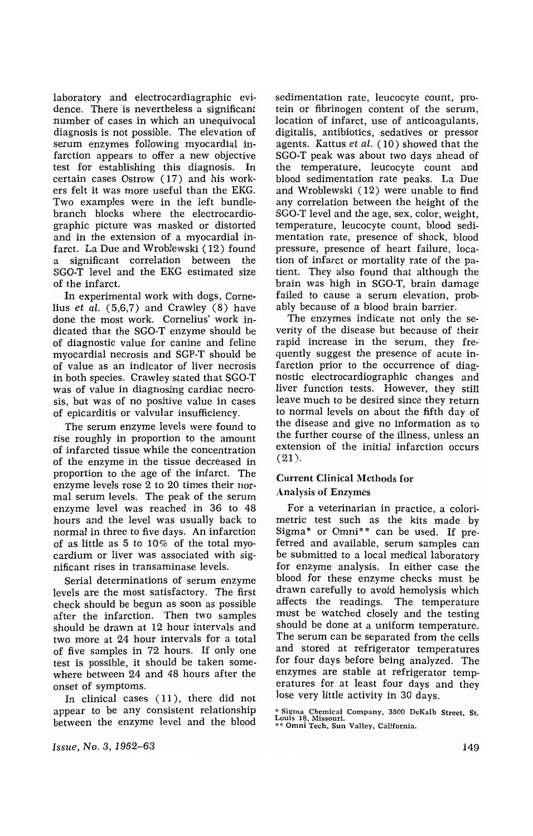laboratory and electrocardiagraphic evidence. There is nevertheless a significant number of cases in which an unequivocal diagnosis is not possible. The elevation of serum enzymes following myocardial infarction appears to offer a new objective test for establishing this diagnosis. In certain cases Ostrow (17) and his workers felt it was more useful than the EKG. Two examples were in the left bundlebranch blocks where the electrocardiographic picture was masked or distorted and in the extension of a myocardial infarct. La Due and Wroblewski (12) found significant correlation between the SGO-T level and the EKG estimated size of the infarct.

In experimental work with dogs, Cornelius *et al.* (5,6,7) and Crawley (8) have done the most work. Cornelius' work indicated that the SGO-T enzyme should be of diagnostic value for canine and feline myocardial necrosis and SGP-T should be of value as an indicator of liver necrosis in both species. Crawley stated that SGO-T was of value in diagnosing cardiac necrosis, but was of no positive value in cases of epicarditis or valvular insufficiency.

The serum enzyme levels were found to rise roughly in proportion to the amount of infarcted tissue while the concentration of the enzyme in the tissue decreased in proportion to the age of the infarct. The enzyme levels rose 2 to 20 times their normal serum levels. The peak of the serum enzyme level was reached in 36 to 48 hours and the level was usually back to normal in three to five days. An infarction of as little as 5 to 10% of the total myocardium or liver was associated with significant rises in transaminase levels.

Serial determinations of serum enzyme levels are the most satisfactory. The first check should be begun as soon as possible after the infarction. Then two samples should be drawn at 12 hour intervals and two more at 24 hour intervals for a total of five samples in 72 hours. If only one test is possible, it should be taken somewhere between 24 and 48 hours after the onset of symptoms.

In clinical cases (11), there did not appear to be any consistent relationship between the enzyme level and the blood sedimentation rate, leucocyte count, protein or fibrinogen content of the serum, location of infarct, use of anticoagulants, digitalis, antibiotics, sedatives or pressor agents. Kattus *et al.* (10) showed that the SGO-T peak was about two days ahead of the temperature, leucocyte count and blood sedimentation rate peaks. La Due and Wroblewski (12) were unable to find any correlation between the height of the SGO-T level and the age, sex, color, weight, temperature, leucocyte count, blood sedimentation rate, presence of shock, blood pressure, presence of heart failure, location of infarct or mortality rate of the patient. They also found that although the brain was high in SGO-T, brain damage failed to cause a serum elevation, probably because of a blood brain barrier.

The enzymes indicate not only the severity of the disease but because of their rapid increase in the serum, they frequently suggest the presence of acute infarction prior to the occurrence of diagnostic electrocardiographic changes and liver function tests. However, they still leave much to be desired since they return to normal levels on about the fifth day of the disease and give no information as to the further course of the illness, unless an extension of the initial infarction occurs  $(21)$ .

## Current Clinical Methods for Analysis of Enzymes

For a veterinarian in practice, a colorimetric test such as the kits made by Sigma\* or Omni\*\* can be used. If preferred and available, serum samples can be submitted to a local medical laboratory for enzyme analysis. In either case the blood for these enzyme checks must be drawn carefully to avoid hemolysis which affects the readings. The temperature must be watched closely and the testing should be done at a uniform temperature. The serum can be separated from the cells and stored at refrigerator temperatures for four days before being analyzed. The enzymes are stable at refrigerator temperatures for at least four days and they lose very little activity in 30 days.

\* Sigma Chemical Company, 3500 DeKalb Street, St.<br>Louis 18, Missouri.<br>\*\* Omni Tech, Sun Valley, California.

*Issue, No.3, 1962-63*